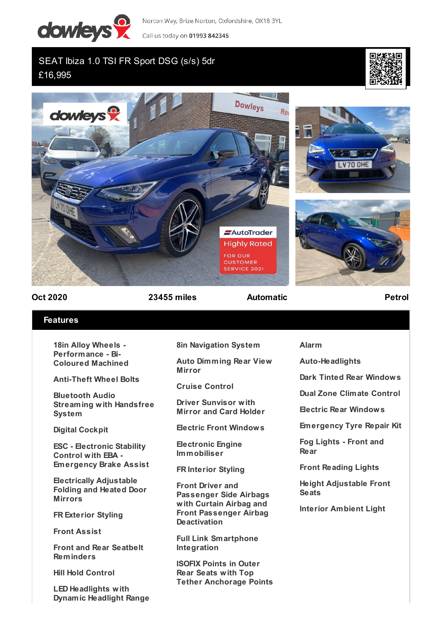

Norton Way, Brize Norton, Oxfordshire, OX18 3YL

Call us today on 01993 842345

## SEAT Ibiza 1.0 TSI FR Sport DSG (s/s) 5dr £16,995





**Oct 2020 23455 miles Automatic Petrol**

## **Features**

**18in Alloy Wheels - Performance - Bi-Coloured Machined**

**Anti-Theft Wheel Bolts**

**Bluetooth Audio Streaming with Handsfree System**

**Digital Cockpit**

**ESC - Electronic Stability Control with EBA - Emergency Brake Assist**

**Electrically Adjustable Folding and Heated Door Mirrors**

**FR Exterior Styling**

**Front Assist**

**Front and Rear Seatbelt Reminders**

**Hill Hold Control**

**LED Headlights with Dynamic Headlight Range** **8in Navigation System**

**Auto Dimming Rear View Mirror**

**Cruise Control**

**Driver Sunvisor with Mirror and Card Holder**

**Electric Front Windows**

**Electronic Engine Immobiliser**

**FR Interior Styling**

**Front Driver and Passenger Side Airbags with Curtain Airbag and Front Passenger Airbag Deactivation**

**Full Link Smartphone Integration**

**ISOFIX Points in Outer Rear Seats with Top Tether Anchorage Points** **Alarm**

**Auto-Headlights**

**Dark Tinted Rear Windows**

**Dual Zone Climate Control**

**Electric Rear Windows**

**Emergency Tyre Repair Kit**

**Fog Lights - Front and Rear**

**Front Reading Lights**

**Height Adjustable Front Seats**

**Interior Ambient Light**